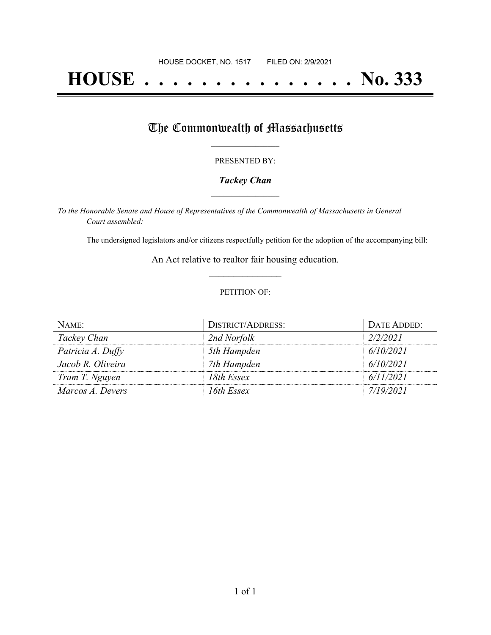# **HOUSE . . . . . . . . . . . . . . . No. 333**

## The Commonwealth of Massachusetts

#### PRESENTED BY:

#### *Tackey Chan* **\_\_\_\_\_\_\_\_\_\_\_\_\_\_\_\_\_**

*To the Honorable Senate and House of Representatives of the Commonwealth of Massachusetts in General Court assembled:*

The undersigned legislators and/or citizens respectfully petition for the adoption of the accompanying bill:

An Act relative to realtor fair housing education. **\_\_\_\_\_\_\_\_\_\_\_\_\_\_\_**

#### PETITION OF:

| NAME:             | <b>DISTRICT/ADDRESS:</b> | DATE ADDED: |
|-------------------|--------------------------|-------------|
| Tackey Chan       | 2nd Norfolk              | 2/2/2021    |
| Patricia A. Duffy | 5th Hampden              | 6/10/2021   |
| Jacob R. Oliveira | 7th Hampden              | 6/10/2021   |
| Tram T. Nguyen    | 18th Essex               | 6/11/2021   |
| Marcos A. Devers  | 16th Essex               | 7/19/2021   |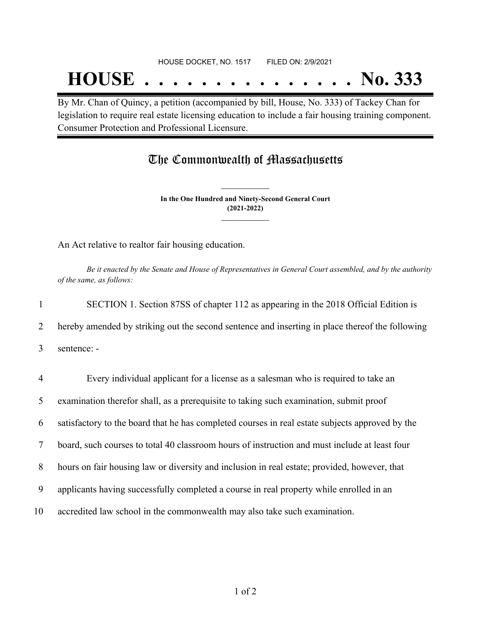## **HOUSE . . . . . . . . . . . . . . . No. 333**

By Mr. Chan of Quincy, a petition (accompanied by bill, House, No. 333) of Tackey Chan for legislation to require real estate licensing education to include a fair housing training component. Consumer Protection and Professional Licensure.

### The Commonwealth of Massachusetts

**In the One Hundred and Ninety-Second General Court (2021-2022) \_\_\_\_\_\_\_\_\_\_\_\_\_\_\_**

**\_\_\_\_\_\_\_\_\_\_\_\_\_\_\_**

An Act relative to realtor fair housing education.

Be it enacted by the Senate and House of Representatives in General Court assembled, and by the authority *of the same, as follows:*

 SECTION 1. Section 87SS of chapter 112 as appearing in the 2018 Official Edition is hereby amended by striking out the second sentence and inserting in place thereof the following sentence: - Every individual applicant for a license as a salesman who is required to take an examination therefor shall, as a prerequisite to taking such examination, submit proof satisfactory to the board that he has completed courses in real estate subjects approved by the board, such courses to total 40 classroom hours of instruction and must include at least four

8 hours on fair housing law or diversity and inclusion in real estate; provided, however, that

9 applicants having successfully completed a course in real property while enrolled in an

10 accredited law school in the commonwealth may also take such examination.